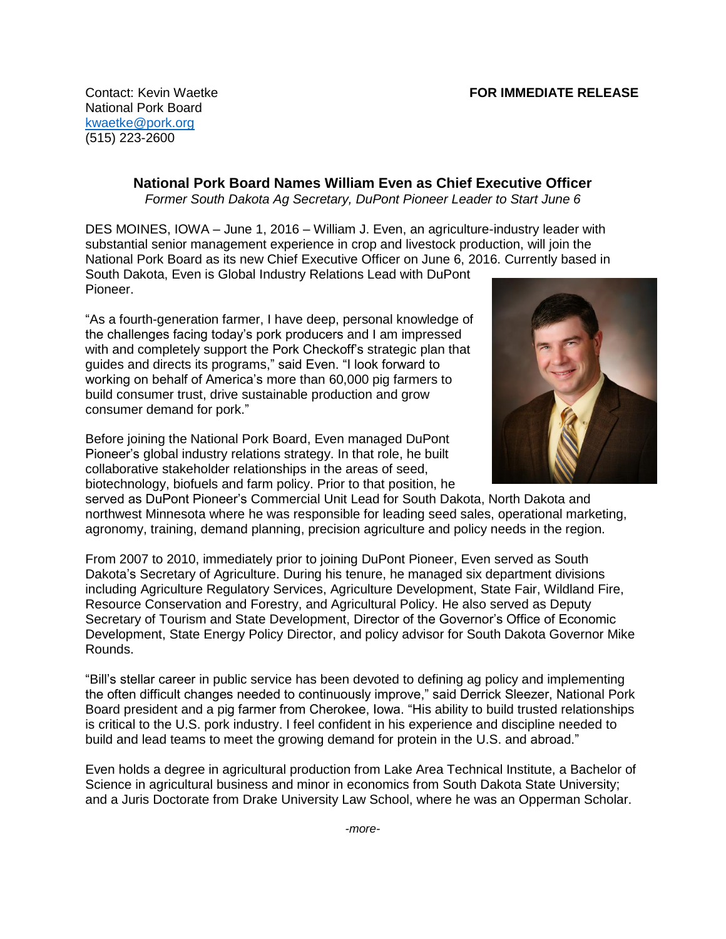National Pork Board [kwaetke@pork.org](mailto:CCunningham@pork.org) (515) 223-2600

> **National Pork Board Names William Even as Chief Executive Officer** *Former South Dakota Ag Secretary, DuPont Pioneer Leader to Start June 6*

DES MOINES, IOWA – June 1, 2016 – William J. Even, an agriculture-industry leader with substantial senior management experience in crop and livestock production, will join the National Pork Board as its new Chief Executive Officer on June 6, 2016. Currently based in South Dakota, Even is Global Industry Relations Lead with DuPont

Pioneer.

"As a fourth-generation farmer, I have deep, personal knowledge of the challenges facing today's pork producers and I am impressed with and completely support the Pork Checkoff's strategic plan that guides and directs its programs," said Even. "I look forward to working on behalf of America's more than 60,000 pig farmers to build consumer trust, drive sustainable production and grow consumer demand for pork."

Before joining the National Pork Board, Even managed DuPont Pioneer's global industry relations strategy. In that role, he built collaborative stakeholder relationships in the areas of seed, biotechnology, biofuels and farm policy. Prior to that position, he



served as DuPont Pioneer's Commercial Unit Lead for South Dakota, North Dakota and northwest Minnesota where he was responsible for leading seed sales, operational marketing, agronomy, training, demand planning, precision agriculture and policy needs in the region.

From 2007 to 2010, immediately prior to joining DuPont Pioneer, Even served as South Dakota's Secretary of Agriculture. During his tenure, he managed six department divisions including Agriculture Regulatory Services, Agriculture Development, State Fair, Wildland Fire, Resource Conservation and Forestry, and Agricultural Policy. He also served as Deputy Secretary of Tourism and State Development, Director of the Governor's Office of Economic Development, State Energy Policy Director, and policy advisor for South Dakota Governor Mike Rounds.

"Bill's stellar career in public service has been devoted to defining ag policy and implementing the often difficult changes needed to continuously improve," said Derrick Sleezer, National Pork Board president and a pig farmer from Cherokee, Iowa. "His ability to build trusted relationships is critical to the U.S. pork industry. I feel confident in his experience and discipline needed to build and lead teams to meet the growing demand for protein in the U.S. and abroad."

Even holds a degree in agricultural production from Lake Area Technical Institute, a Bachelor of Science in agricultural business and minor in economics from South Dakota State University; and a Juris Doctorate from Drake University Law School, where he was an Opperman Scholar.